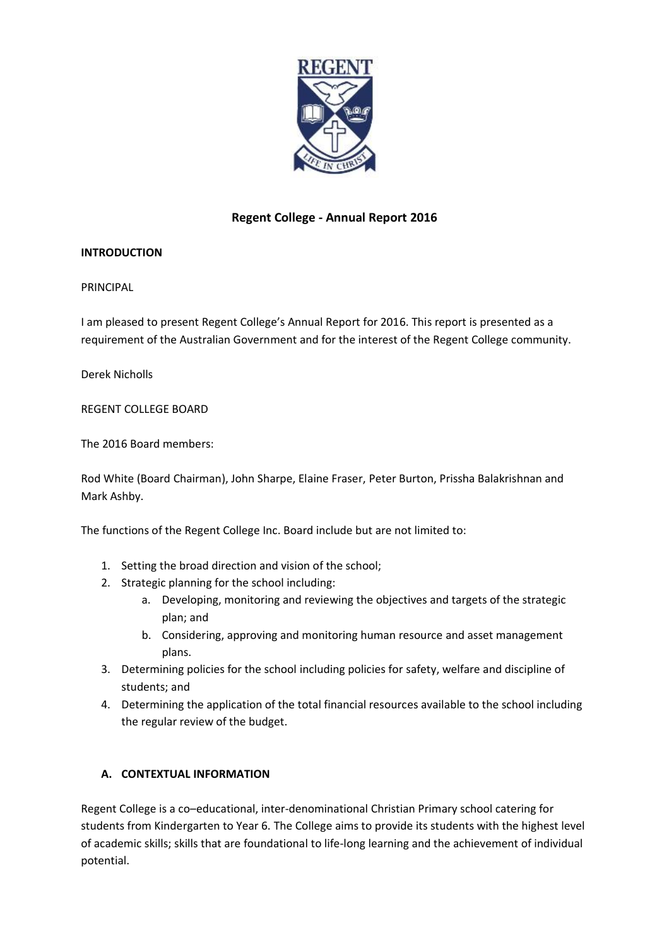

# **Regent College - Annual Report 2016**

# **INTRODUCTION**

PRINCIPAL

I am pleased to present Regent College's Annual Report for 2016. This report is presented as a requirement of the Australian Government and for the interest of the Regent College community.

Derek Nicholls

REGENT COLLEGE BOARD

The 2016 Board members:

Rod White (Board Chairman), John Sharpe, Elaine Fraser, Peter Burton, Prissha Balakrishnan and Mark Ashby.

The functions of the Regent College Inc. Board include but are not limited to:

- 1. Setting the broad direction and vision of the school;
- 2. Strategic planning for the school including:
	- a. Developing, monitoring and reviewing the objectives and targets of the strategic plan; and
	- b. Considering, approving and monitoring human resource and asset management plans.
- 3. Determining policies for the school including policies for safety, welfare and discipline of students; and
- 4. Determining the application of the total financial resources available to the school including the regular review of the budget.

# **A. CONTEXTUAL INFORMATION**

Regent College is a co–educational, inter-denominational Christian Primary school catering for students from Kindergarten to Year 6. The College aims to provide its students with the highest level of academic skills; skills that are foundational to life-long learning and the achievement of individual potential.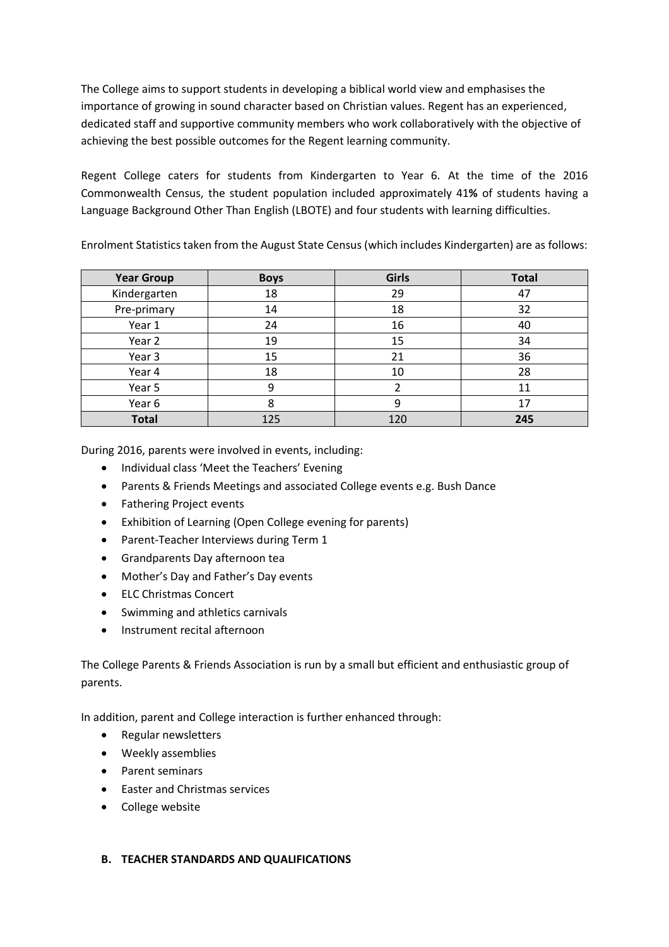The College aims to support students in developing a biblical world view and emphasises the importance of growing in sound character based on Christian values. Regent has an experienced, dedicated staff and supportive community members who work collaboratively with the objective of achieving the best possible outcomes for the Regent learning community.

Regent College caters for students from Kindergarten to Year 6. At the time of the 2016 Commonwealth Census, the student population included approximately 41**%** of students having a Language Background Other Than English (LBOTE) and four students with learning difficulties.

| <b>Year Group</b> | <b>Boys</b> | <b>Girls</b> | <b>Total</b> |
|-------------------|-------------|--------------|--------------|
| Kindergarten      | 18          | 29           | 47           |
| Pre-primary       | 14          | 18           | 32           |
| Year 1            | 24          | 16           | 40           |
| Year 2            | 19          | 15           | 34           |
| Year 3            | 15          | 21           | 36           |
| Year 4            | 18          | 10           | 28           |
| Year 5            | 9           |              | 11           |
| Year 6            | 8           | 9            | 17           |
| <b>Total</b>      | 125         | 120          | 245          |

Enrolment Statistics taken from the August State Census (which includes Kindergarten) are as follows:

During 2016, parents were involved in events, including:

- Individual class 'Meet the Teachers' Evening
- Parents & Friends Meetings and associated College events e.g. Bush Dance
- Fathering Project events
- Exhibition of Learning (Open College evening for parents)
- Parent-Teacher Interviews during Term 1
- Grandparents Day afternoon tea
- Mother's Day and Father's Day events
- ELC Christmas Concert
- Swimming and athletics carnivals
- Instrument recital afternoon

The College Parents & Friends Association is run by a small but efficient and enthusiastic group of parents.

In addition, parent and College interaction is further enhanced through:

- Regular newsletters
- Weekly assemblies
- Parent seminars
- Easter and Christmas services
- College website

#### **B. TEACHER STANDARDS AND QUALIFICATIONS**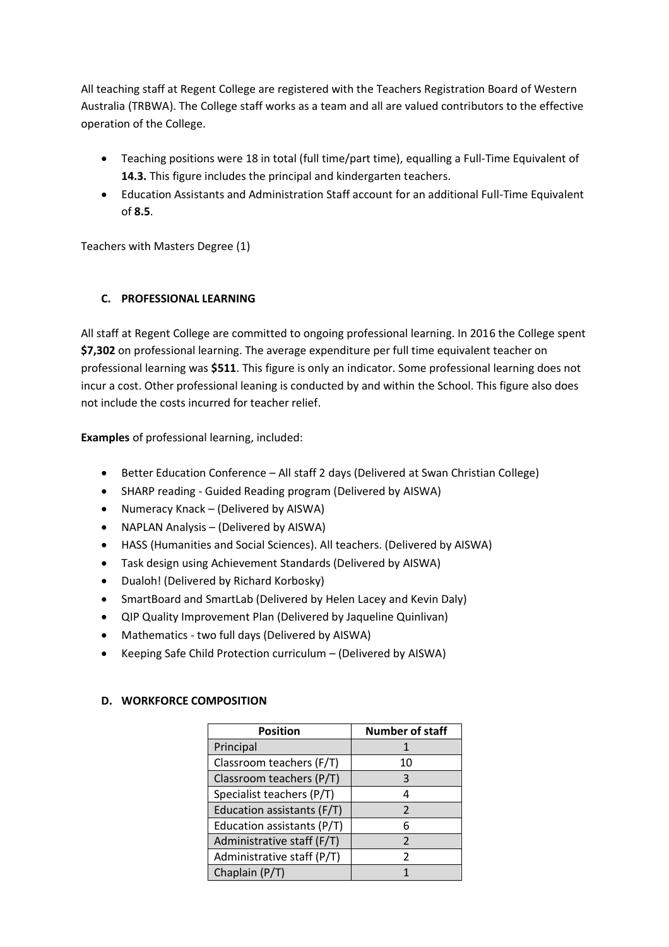All teaching staff at Regent College are registered with the Teachers Registration Board of Western Australia (TRBWA). The College staff works as a team and all are valued contributors to the effective operation of the College.

- Teaching positions were 18 in total (full time/part time), equalling a Full-Time Equivalent of **14.3.** This figure includes the principal and kindergarten teachers.
- Education Assistants and Administration Staff account for an additional Full-Time Equivalent of **8.5**.

Teachers with Masters Degree (1)

# **C. PROFESSIONAL LEARNING**

All staff at Regent College are committed to ongoing professional learning. In 2016 the College spent **\$7,302** on professional learning. The average expenditure per full time equivalent teacher on professional learning was **\$511**. This figure is only an indicator. Some professional learning does not incur a cost. Other professional leaning is conducted by and within the School. This figure also does not include the costs incurred for teacher relief.

**Examples** of professional learning, included:

- Better Education Conference All staff 2 days (Delivered at Swan Christian College)
- SHARP reading Guided Reading program (Delivered by AISWA)
- Numeracy Knack (Delivered by AISWA)
- NAPLAN Analysis (Delivered by AISWA)
- HASS (Humanities and Social Sciences). All teachers. (Delivered by AISWA)
- Task design using Achievement Standards (Delivered by AISWA)
- Dualoh! (Delivered by Richard Korbosky)
- SmartBoard and SmartLab (Delivered by Helen Lacey and Kevin Daly)
- QIP Quality Improvement Plan (Delivered by Jaqueline Quinlivan)
- Mathematics two full days (Delivered by AISWA)
- Keeping Safe Child Protection curriculum (Delivered by AISWA)

| <b>Position</b>            | <b>Number of staff</b> |  |
|----------------------------|------------------------|--|
| Principal                  |                        |  |
| Classroom teachers (F/T)   | 10                     |  |
| Classroom teachers (P/T)   | 3                      |  |
| Specialist teachers (P/T)  | 4                      |  |
| Education assistants (F/T) | $\mathcal{P}$          |  |
| Education assistants (P/T) | 6                      |  |
| Administrative staff (F/T) | $\mathcal{P}$          |  |
| Administrative staff (P/T) | 2                      |  |
| Chaplain (P/T)             |                        |  |

# **D. WORKFORCE COMPOSITION**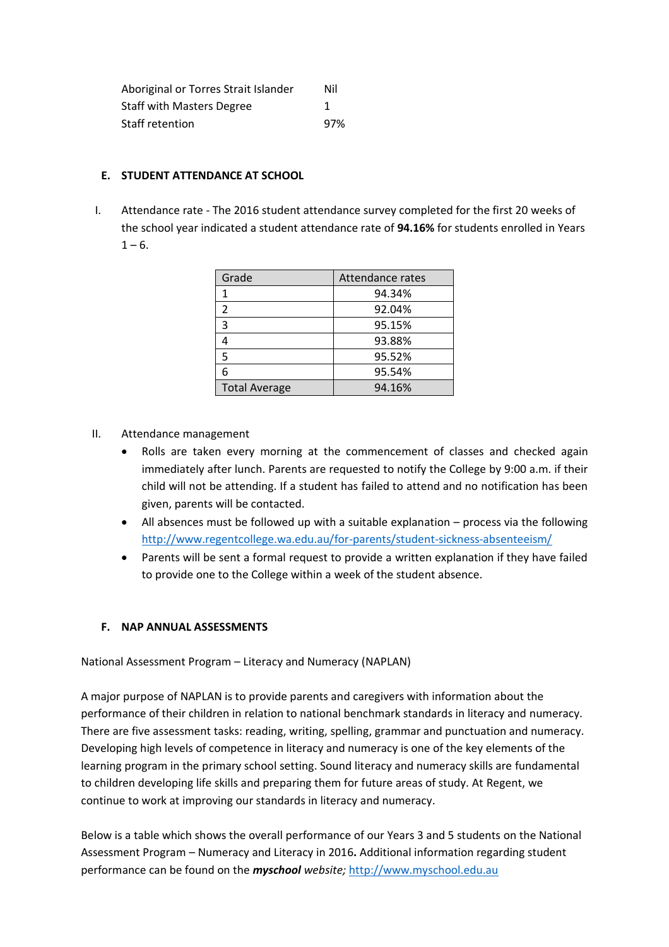| Aboriginal or Torres Strait Islander | Nil |
|--------------------------------------|-----|
| <b>Staff with Masters Degree</b>     | 1   |
| Staff retention                      | 97% |

#### **E. STUDENT ATTENDANCE AT SCHOOL**

I. Attendance rate - The 2016 student attendance survey completed for the first 20 weeks of the school year indicated a student attendance rate of **94.16%** for students enrolled in Years  $1 - 6$ .

| Grade                | Attendance rates |
|----------------------|------------------|
| 1                    | 94.34%           |
| 2                    | 92.04%           |
| 3                    | 95.15%           |
| 4                    | 93.88%           |
| 5                    | 95.52%           |
| 6                    | 95.54%           |
| <b>Total Average</b> | 94.16%           |

- II. Attendance management
	- Rolls are taken every morning at the commencement of classes and checked again immediately after lunch. Parents are requested to notify the College by 9:00 a.m. if their child will not be attending. If a student has failed to attend and no notification has been given, parents will be contacted.
	- All absences must be followed up with a suitable explanation process via the following <http://www.regentcollege.wa.edu.au/for-parents/student-sickness-absenteeism/>
	- Parents will be sent a formal request to provide a written explanation if they have failed to provide one to the College within a week of the student absence.

# **F. NAP ANNUAL ASSESSMENTS**

National Assessment Program – Literacy and Numeracy (NAPLAN)

A major purpose of NAPLAN is to provide parents and caregivers with information about the performance of their children in relation to national benchmark standards in literacy and numeracy. There are five assessment tasks: reading, writing, spelling, grammar and punctuation and numeracy. Developing high levels of competence in literacy and numeracy is one of the key elements of the learning program in the primary school setting. Sound literacy and numeracy skills are fundamental to children developing life skills and preparing them for future areas of study. At Regent, we continue to work at improving our standards in literacy and numeracy.

Below is a table which shows the overall performance of our Years 3 and 5 students on the National Assessment Program – Numeracy and Literacy in 2016**.** Additional information regarding student performance can be found on the *myschool website;* [http://www.myschool.edu.au](http://www.myschool.edu.au/)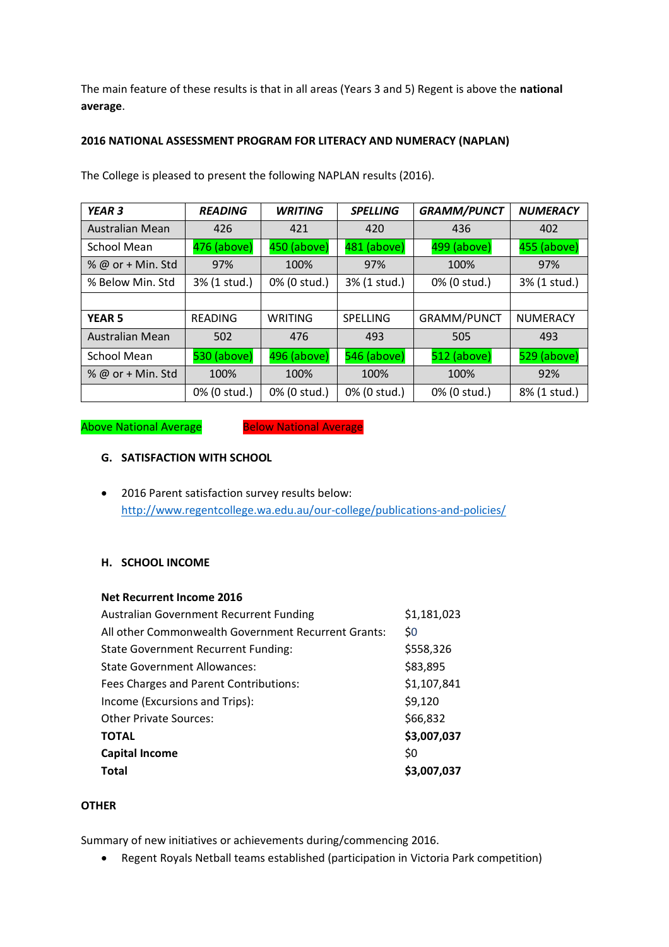The main feature of these results is that in all areas (Years 3 and 5) Regent is above the **national average**.

# **2016 NATIONAL ASSESSMENT PROGRAM FOR LITERACY AND NUMERACY (NAPLAN)**

| <b>YEAR 3</b>     | <b>READING</b> | <b>WRITING</b> | <b>SPELLING</b> | <b>GRAMM/PUNCT</b> | <b>NUMERACY</b> |
|-------------------|----------------|----------------|-----------------|--------------------|-----------------|
| Australian Mean   | 426            | 421            | 420             | 436                | 402             |
| School Mean       | 476 (above)    | 450 (above)    | 481 (above)     | 499 (above)        | 455 (above)     |
| % @ or + Min. Std | 97%            | 100%           | 97%             | 100%               | 97%             |
| % Below Min. Std  | 3% (1 stud.)   | 0% (0 stud.)   | 3% (1 stud.)    | 0% (0 stud.)       | 3% (1 stud.)    |
|                   |                |                |                 |                    |                 |
| <b>YEAR 5</b>     | <b>READING</b> | WRITING        | <b>SPELLING</b> | <b>GRAMM/PUNCT</b> | <b>NUMERACY</b> |
| Australian Mean   | 502            | 476            | 493             | 505                | 493             |
| School Mean       | 530 (above)    | 496 (above)    | 546 (above)     | 512 (above)        | 529 (above)     |
| % @ or + Min. Std | 100%           | 100%           | 100%            | 100%               | 92%             |
|                   | 0% (0 stud.)   | 0% (0 stud.)   | 0% (0 stud.)    | 0% (0 stud.)       | 8% (1 stud.)    |

The College is pleased to present the following NAPLAN results (2016).

Above National Average Below National Average

# **G. SATISFACTION WITH SCHOOL**

• 2016 Parent satisfaction survey results below: <http://www.regentcollege.wa.edu.au/our-college/publications-and-policies/>

# **H. SCHOOL INCOME**

| Net Recurrent Income 2016                           |             |
|-----------------------------------------------------|-------------|
| <b>Australian Government Recurrent Funding</b>      | \$1,181,023 |
| All other Commonwealth Government Recurrent Grants: | \$0         |
| <b>State Government Recurrent Funding:</b>          | \$558,326   |
| <b>State Government Allowances:</b>                 | \$83,895    |
| Fees Charges and Parent Contributions:              | \$1,107,841 |
| Income (Excursions and Trips):                      | \$9,120     |
| <b>Other Private Sources:</b>                       | \$66,832    |
| <b>TOTAL</b>                                        | \$3,007,037 |
| <b>Capital Income</b>                               | \$0         |
| Total                                               | \$3,007,037 |

# **OTHER**

Summary of new initiatives or achievements during/commencing 2016.

• Regent Royals Netball teams established (participation in Victoria Park competition)